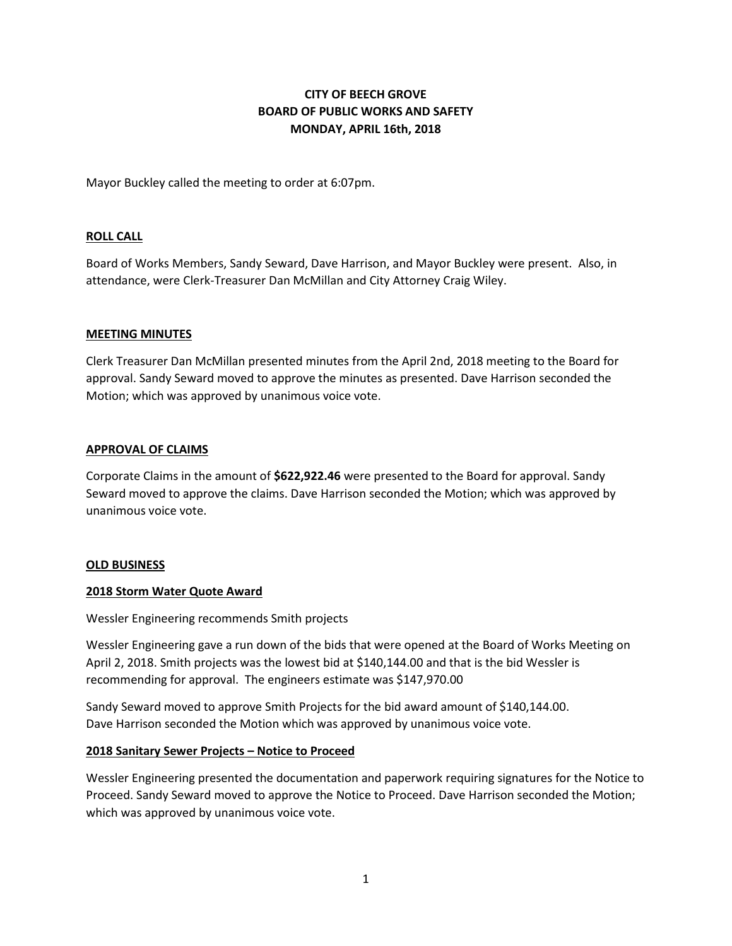# **CITY OF BEECH GROVE BOARD OF PUBLIC WORKS AND SAFETY MONDAY, APRIL 16th, 2018**

Mayor Buckley called the meeting to order at 6:07pm.

## **ROLL CALL**

Board of Works Members, Sandy Seward, Dave Harrison, and Mayor Buckley were present. Also, in attendance, were Clerk-Treasurer Dan McMillan and City Attorney Craig Wiley.

## **MEETING MINUTES**

Clerk Treasurer Dan McMillan presented minutes from the April 2nd, 2018 meeting to the Board for approval. Sandy Seward moved to approve the minutes as presented. Dave Harrison seconded the Motion; which was approved by unanimous voice vote.

## **APPROVAL OF CLAIMS**

Corporate Claims in the amount of **\$622,922.46** were presented to the Board for approval. Sandy Seward moved to approve the claims. Dave Harrison seconded the Motion; which was approved by unanimous voice vote.

## **OLD BUSINESS**

## **2018 Storm Water Quote Award**

Wessler Engineering recommends Smith projects

Wessler Engineering gave a run down of the bids that were opened at the Board of Works Meeting on April 2, 2018. Smith projects was the lowest bid at \$140,144.00 and that is the bid Wessler is recommending for approval. The engineers estimate was \$147,970.00

Sandy Seward moved to approve Smith Projects for the bid award amount of \$140,144.00. Dave Harrison seconded the Motion which was approved by unanimous voice vote.

## **2018 Sanitary Sewer Projects – Notice to Proceed**

Wessler Engineering presented the documentation and paperwork requiring signatures for the Notice to Proceed. Sandy Seward moved to approve the Notice to Proceed. Dave Harrison seconded the Motion; which was approved by unanimous voice vote.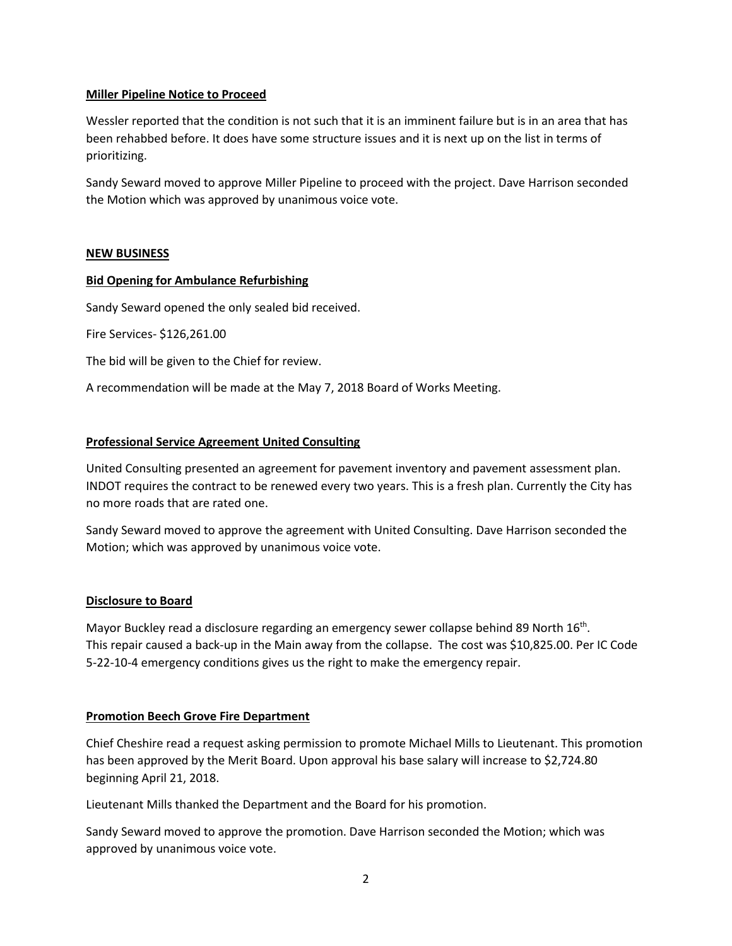## **Miller Pipeline Notice to Proceed**

Wessler reported that the condition is not such that it is an imminent failure but is in an area that has been rehabbed before. It does have some structure issues and it is next up on the list in terms of prioritizing.

Sandy Seward moved to approve Miller Pipeline to proceed with the project. Dave Harrison seconded the Motion which was approved by unanimous voice vote.

## **NEW BUSINESS**

## **Bid Opening for Ambulance Refurbishing**

Sandy Seward opened the only sealed bid received.

Fire Services- \$126,261.00

The bid will be given to the Chief for review.

A recommendation will be made at the May 7, 2018 Board of Works Meeting.

## **Professional Service Agreement United Consulting**

United Consulting presented an agreement for pavement inventory and pavement assessment plan. INDOT requires the contract to be renewed every two years. This is a fresh plan. Currently the City has no more roads that are rated one.

Sandy Seward moved to approve the agreement with United Consulting. Dave Harrison seconded the Motion; which was approved by unanimous voice vote.

## **Disclosure to Board**

Mayor Buckley read a disclosure regarding an emergency sewer collapse behind 89 North 16<sup>th</sup>. This repair caused a back-up in the Main away from the collapse. The cost was \$10,825.00. Per IC Code 5-22-10-4 emergency conditions gives us the right to make the emergency repair.

## **Promotion Beech Grove Fire Department**

Chief Cheshire read a request asking permission to promote Michael Mills to Lieutenant. This promotion has been approved by the Merit Board. Upon approval his base salary will increase to \$2,724.80 beginning April 21, 2018.

Lieutenant Mills thanked the Department and the Board for his promotion.

Sandy Seward moved to approve the promotion. Dave Harrison seconded the Motion; which was approved by unanimous voice vote.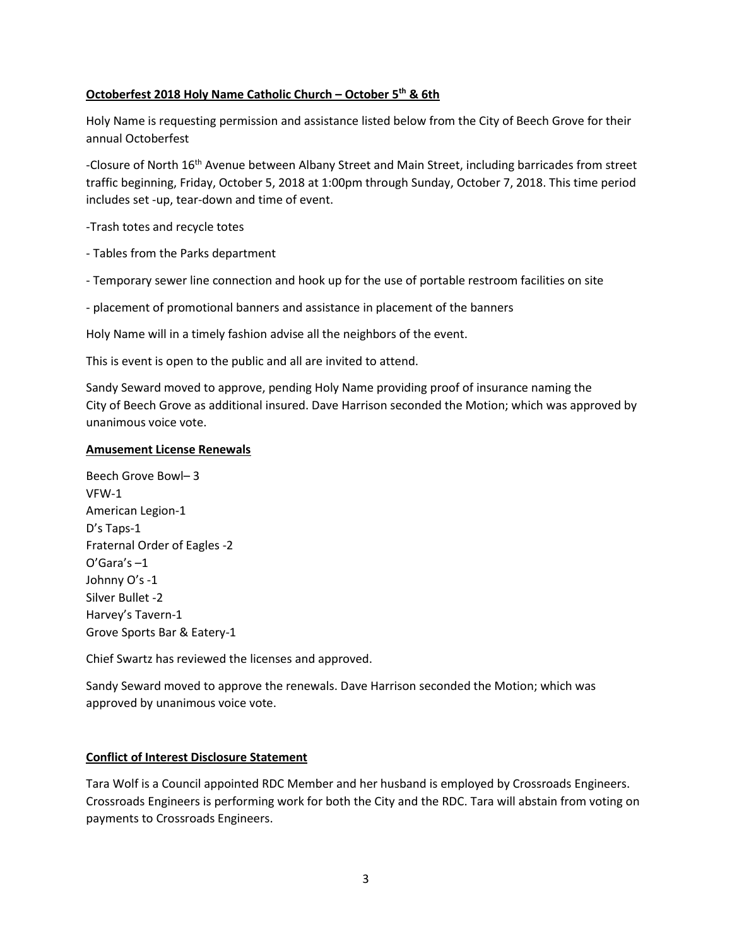# **Octoberfest 2018 Holy Name Catholic Church – October 5th & 6th**

Holy Name is requesting permission and assistance listed below from the City of Beech Grove for their annual Octoberfest

-Closure of North 16<sup>th</sup> Avenue between Albany Street and Main Street, including barricades from street traffic beginning, Friday, October 5, 2018 at 1:00pm through Sunday, October 7, 2018. This time period includes set -up, tear-down and time of event.

-Trash totes and recycle totes

- Tables from the Parks department
- Temporary sewer line connection and hook up for the use of portable restroom facilities on site

- placement of promotional banners and assistance in placement of the banners

Holy Name will in a timely fashion advise all the neighbors of the event.

This is event is open to the public and all are invited to attend.

Sandy Seward moved to approve, pending Holy Name providing proof of insurance naming the City of Beech Grove as additional insured. Dave Harrison seconded the Motion; which was approved by unanimous voice vote.

# **Amusement License Renewals**

Beech Grove Bowl– 3 VFW-1 American Legion-1 D's Taps-1 Fraternal Order of Eagles -2 O'Gara's –1 Johnny O's -1 Silver Bullet -2 Harvey's Tavern-1 Grove Sports Bar & Eatery-1

Chief Swartz has reviewed the licenses and approved.

Sandy Seward moved to approve the renewals. Dave Harrison seconded the Motion; which was approved by unanimous voice vote.

# **Conflict of Interest Disclosure Statement**

Tara Wolf is a Council appointed RDC Member and her husband is employed by Crossroads Engineers. Crossroads Engineers is performing work for both the City and the RDC. Tara will abstain from voting on payments to Crossroads Engineers.